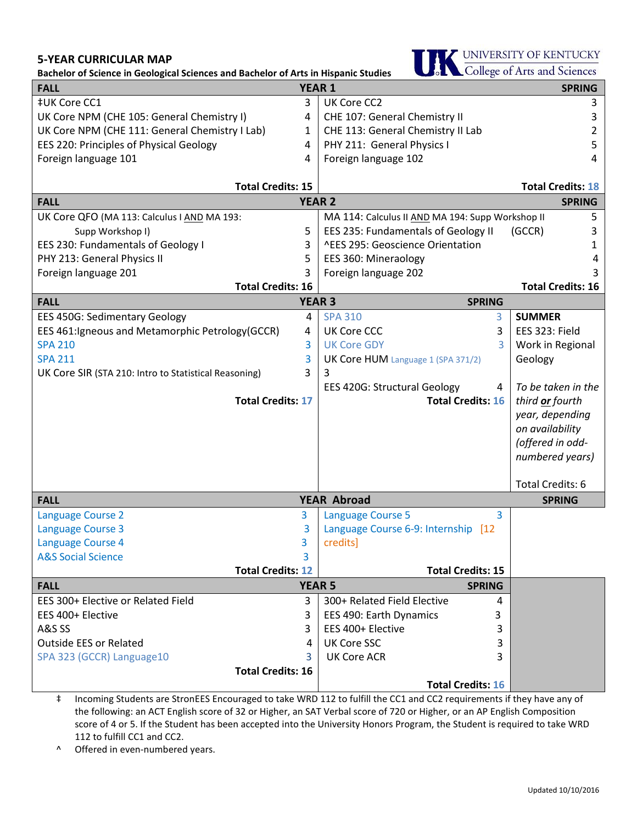## **5-YEAR CURRICULAR MAP**

**Bachelor of Science in Geological Sciences and Bachelor of Arts in Hispanic Studies**



| Dachelor or Science in Geological Sciences and Dachelor or Arts in mspallic Studies<br><b>YEAR 1</b><br><b>SPRING</b><br><b>FALL</b> |   |                                                  |                          |  |
|--------------------------------------------------------------------------------------------------------------------------------------|---|--------------------------------------------------|--------------------------|--|
| ‡UK Core CC1                                                                                                                         | 3 | UK Core CC2                                      | 3                        |  |
| UK Core NPM (CHE 105: General Chemistry I)                                                                                           | 4 | CHE 107: General Chemistry II                    | 3                        |  |
| UK Core NPM (CHE 111: General Chemistry I Lab)                                                                                       | 1 | CHE 113: General Chemistry II Lab                | 2                        |  |
| EES 220: Principles of Physical Geology                                                                                              | 4 | PHY 211: General Physics I                       | 5                        |  |
| Foreign language 101                                                                                                                 | 4 | Foreign language 102                             | 4                        |  |
|                                                                                                                                      |   |                                                  |                          |  |
| <b>Total Credits: 15</b><br><b>Total Credits: 18</b>                                                                                 |   |                                                  |                          |  |
| <b>YEAR 2</b><br><b>FALL</b><br><b>SPRING</b>                                                                                        |   |                                                  |                          |  |
| UK Core QFO (MA 113: Calculus I AND MA 193:                                                                                          |   | MA 114: Calculus II AND MA 194: Supp Workshop II | 5                        |  |
| Supp Workshop I)                                                                                                                     | 5 | EES 235: Fundamentals of Geology II              | (GCCR)<br>3              |  |
| EES 230: Fundamentals of Geology I                                                                                                   | 3 | ^EES 295: Geoscience Orientation                 | 1                        |  |
| PHY 213: General Physics II                                                                                                          | 5 | EES 360: Mineraology                             | 4                        |  |
| Foreign language 201                                                                                                                 | 3 | Foreign language 202                             | 3                        |  |
| <b>Total Credits: 16</b>                                                                                                             |   |                                                  | <b>Total Credits: 16</b> |  |
| <b>FALL</b>                                                                                                                          |   | <b>YEAR 3</b><br><b>SPRING</b>                   |                          |  |
| <b>EES 450G: Sedimentary Geology</b>                                                                                                 | 4 | <b>SPA 310</b><br>3                              | <b>SUMMER</b>            |  |
| EES 461: Igneous and Metamorphic Petrology (GCCR)                                                                                    | 4 | <b>UK Core CCC</b><br>3                          | EES 323: Field           |  |
| <b>SPA 210</b>                                                                                                                       | 3 | <b>UK Core GDY</b><br>3                          | Work in Regional         |  |
| <b>SPA 211</b>                                                                                                                       | 3 | UK Core HUM Language 1 (SPA 371/2)               | Geology                  |  |
| UK Core SIR (STA 210: Intro to Statistical Reasoning)                                                                                | 3 | 3                                                |                          |  |
|                                                                                                                                      |   | <b>EES 420G: Structural Geology</b><br>4         | To be taken in the       |  |
| <b>Total Credits: 17</b>                                                                                                             |   | <b>Total Credits: 16</b>                         | third or fourth          |  |
|                                                                                                                                      |   |                                                  | year, depending          |  |
|                                                                                                                                      |   |                                                  | on availability          |  |
|                                                                                                                                      |   |                                                  | (offered in odd-         |  |
|                                                                                                                                      |   |                                                  | numbered years)          |  |
|                                                                                                                                      |   |                                                  | <b>Total Credits: 6</b>  |  |
| <b>YEAR Abroad</b><br><b>FALL</b>                                                                                                    |   | <b>SPRING</b>                                    |                          |  |
| <b>Language Course 2</b>                                                                                                             | 3 | 3<br><b>Language Course 5</b>                    |                          |  |
| Language Course 3                                                                                                                    | 3 | Language Course 6-9: Internship [12              |                          |  |
| Language Course 4                                                                                                                    | 3 | credits]                                         |                          |  |
| <b>A&amp;S Social Science</b>                                                                                                        | 3 |                                                  |                          |  |
| <b>Total Credits: 12</b>                                                                                                             |   | <b>Total Credits: 15</b>                         |                          |  |
| <b>YEAR 5</b><br><b>FALL</b>                                                                                                         |   | <b>SPRING</b>                                    |                          |  |
| EES 300+ Elective or Related Field                                                                                                   | 3 | 300+ Related Field Elective<br>4                 |                          |  |
| EES 400+ Elective                                                                                                                    | 3 | EES 490: Earth Dynamics<br>3                     |                          |  |
| A&S SS                                                                                                                               | 3 | EES 400+ Elective<br>3                           |                          |  |
| <b>Outside EES or Related</b>                                                                                                        | 4 | <b>UK Core SSC</b><br>3                          |                          |  |
| SPA 323 (GCCR) Language10                                                                                                            | 3 | <b>UK Core ACR</b><br>3                          |                          |  |
| <b>Total Credits: 16</b>                                                                                                             |   |                                                  |                          |  |
|                                                                                                                                      |   | <b>Total Credits: 16</b>                         |                          |  |

‡ Incoming Students are StronEES Encouraged to take WRD 112 to fulfill the CC1 and CC2 requirements if they have any of the following: an ACT English score of 32 or Higher, an SAT Verbal score of 720 or Higher, or an AP English Composition score of 4 or 5. If the Student has been accepted into the University Honors Program, the Student is required to take WRD 112 to fulfill CC1 and CC2.

^ Offered in even-numbered years.